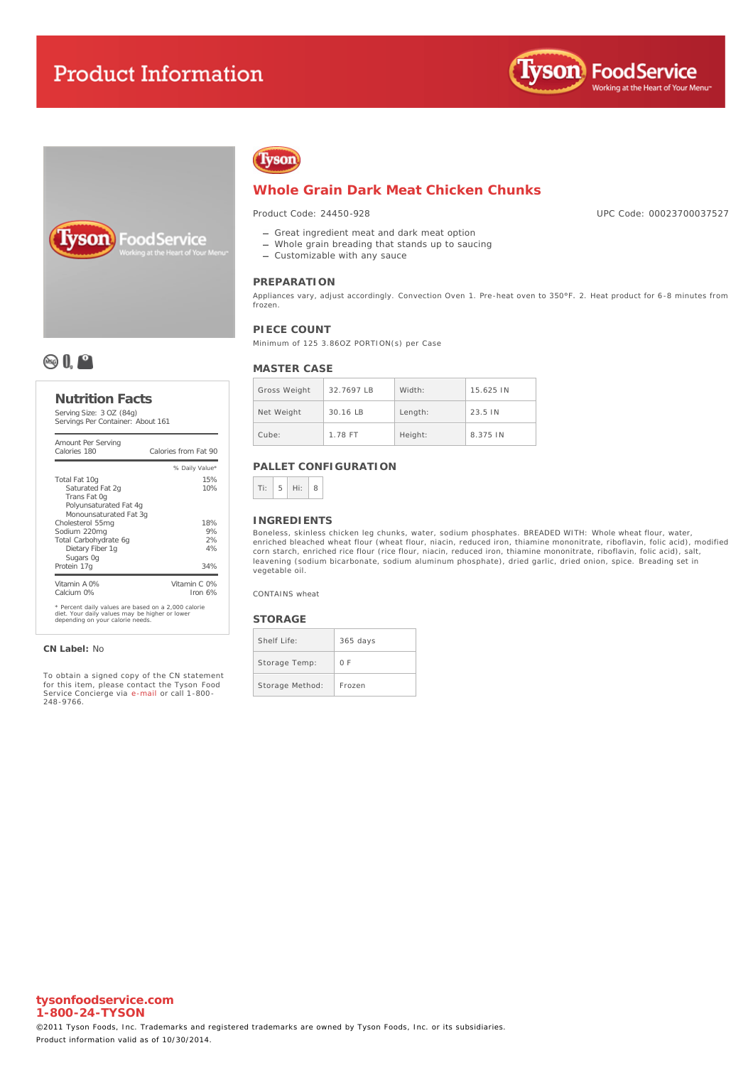# **Product Information**







## **Whole Grain Dark Meat Chicken Chunks**

Product Code: 24450-928

- Great ingredient meat and dark meat option
- Whole grain breading that stands up to saucing
- Customizable with any sauce

### **PREPARATION**

Appliances vary, adjust accordingly. Convection Oven 1. Pre-heat oven to 350°F. 2. Heat product for 6-8 minutes from frozen.

### **PIECE COUNT**

Minimum of 125 3.86OZ PORTION(s) per Case

### **MASTER CASE**

| Gross Weight | $32.7697$ IB | Width:  | 15.625 IN         |
|--------------|--------------|---------|-------------------|
| Net Weight   | $30.16$ IB   | Length: | $23.5 \text{ IN}$ |
| Cube:        | 1.78 FT      | Height: | 8.375 IN          |

### **PALLET CONFIGURATION**



#### **INGREDIENTS**

Boneless, skinless chicken leg chunks, water, sodium phosphates. BREADED WITH: Whole wheat flour, water, enriched bleached wheat flour (wheat flour, niacin, reduced iron, thiamine mononitrate, riboflavin, folic acid), modified corn starch, enriched rice flour (rice flour, niacin, reduced iron, thiamine mononitrate, riboflavin, folic acid), salt, leavening (sodium bicarbonate, sodium aluminum phosphate), dried garlic, dried onion, spice. Breading set in vegetable oil.

CONTAINS wheat

### **STORAGE**

| Shelf Life:     | $365$ days |
|-----------------|------------|
| Storage Temp:   | 0 F        |
| Storage Method: | Frozen     |

## **& 0, 0**

### **Nutrition Facts**

Serving Size: 3 OZ (84g) Servings Per Container: About 161

| Amount Per Serving<br>Calories 180                                                                                                        | Calories from Fat 90      |  |  |
|-------------------------------------------------------------------------------------------------------------------------------------------|---------------------------|--|--|
|                                                                                                                                           | % Daily Value*            |  |  |
| Total Fat 10g                                                                                                                             | 15%                       |  |  |
| Saturated Fat 2g<br>Trans Fat Og<br>Polyunsaturated Fat 4q<br>Monounsaturated Fat 3g                                                      | 10%                       |  |  |
| Cholesterol 55mg                                                                                                                          | 18%                       |  |  |
| Sodium 220mg                                                                                                                              | 9%                        |  |  |
| Total Carbohydrate 6g                                                                                                                     | 2%                        |  |  |
| Dietary Fiber 1q<br>Sugars Og                                                                                                             | 4%                        |  |  |
| Protein 17g                                                                                                                               | 34%                       |  |  |
| Vitamin A 0%<br>Calcium 0%                                                                                                                | Vitamin C 0%<br>Iron $6%$ |  |  |
| * Percent daily values are based on a 2,000 calorie<br>diet. Your daily values may be higher or lower<br>depending on your calorie needs. |                           |  |  |

#### **CN Label:** No

To obtain a signed copy of the CN statement for this item, please contact the Tyson Food Service Concierge via [e-mail](mailto:fscomments@tyson.com) or call 1-800- 248-9766.

UPC Code: 00023700037527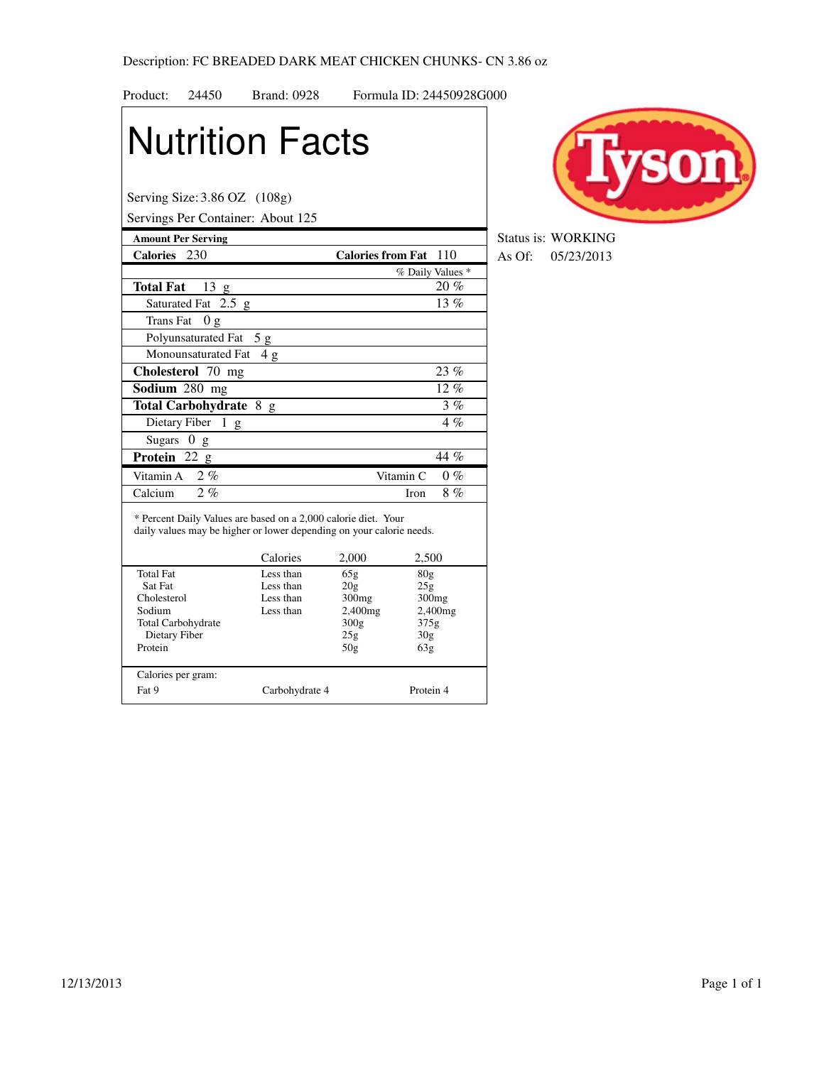| Product:<br>24450                                                                                                                      | <b>Brand: 0928</b> |                              | Formula ID: 24450928G000 |
|----------------------------------------------------------------------------------------------------------------------------------------|--------------------|------------------------------|--------------------------|
| <b>Nutrition Facts</b>                                                                                                                 |                    |                              |                          |
| Serving Size: 3.86 OZ (108g)                                                                                                           |                    |                              |                          |
| Servings Per Container: About 125                                                                                                      |                    |                              |                          |
| <b>Amount Per Serving</b><br>Calories 230                                                                                              |                    | <b>Calories from Fat</b> 110 |                          |
|                                                                                                                                        |                    |                              | % Daily Values *         |
| 13 g<br><b>Total Fat</b>                                                                                                               |                    |                              | $20\%$                   |
| Saturated Fat 2.5 g                                                                                                                    |                    |                              | 13%                      |
| Trans Fat<br>0g                                                                                                                        |                    |                              |                          |
| Polyunsaturated Fat                                                                                                                    |                    |                              |                          |
| Monounsaturated Fat                                                                                                                    | 5g                 |                              |                          |
|                                                                                                                                        | 4g                 |                              |                          |
| Cholesterol 70 mg                                                                                                                      |                    |                              | 23%                      |
| Sodium 280 mg                                                                                                                          |                    |                              | $\overline{12\%}$        |
| Total Carbohydrate 8 g                                                                                                                 |                    |                              | 3%                       |
| Dietary Fiber<br>1 g                                                                                                                   |                    |                              | $4\%$                    |
| <b>Sugars</b><br>0 g                                                                                                                   |                    |                              |                          |
| <b>Protein</b> 22 $g$                                                                                                                  |                    |                              | 44 %                     |
| 2%<br>Vitamin A                                                                                                                        |                    | Vitamin C                    | $0\%$                    |
| 2, 6<br>Calcium                                                                                                                        |                    |                              | 8%<br>Iron               |
| * Percent Daily Values are based on a 2,000 calorie diet. Your<br>daily values may be higher or lower depending on your calorie needs. | Calories           | 2,000                        | 2,500                    |
| <b>Total Fat</b>                                                                                                                       | Less than          | 65g                          | 80g                      |
| Sat Fat                                                                                                                                | Less than          | 20g                          | 25g                      |
| Cholesterol                                                                                                                            | Less than          | 300 <sub>mg</sub>            | 300 <sub>mg</sub>        |
| Sodium                                                                                                                                 | Less than          | 2,400mg                      | 2,400mg                  |
| Total Carbohydrate<br>Dietary Fiber                                                                                                    |                    | 300g<br>25g                  | 375g<br>30 <sub>g</sub>  |
| Protein                                                                                                                                |                    | 50g                          | 63g                      |
| Calories per gram:                                                                                                                     |                    |                              |                          |
| Fat 9                                                                                                                                  | Carbohydrate 4     |                              | Protein 4                |



**Status is: WORKING Calcularies Fat** 130 As Of: 05/23/2013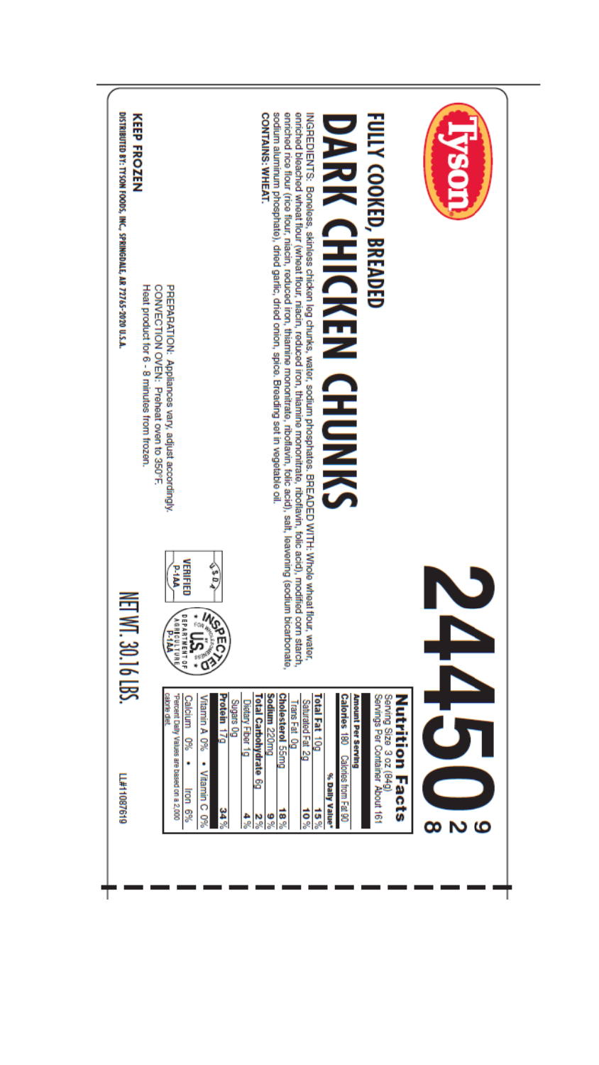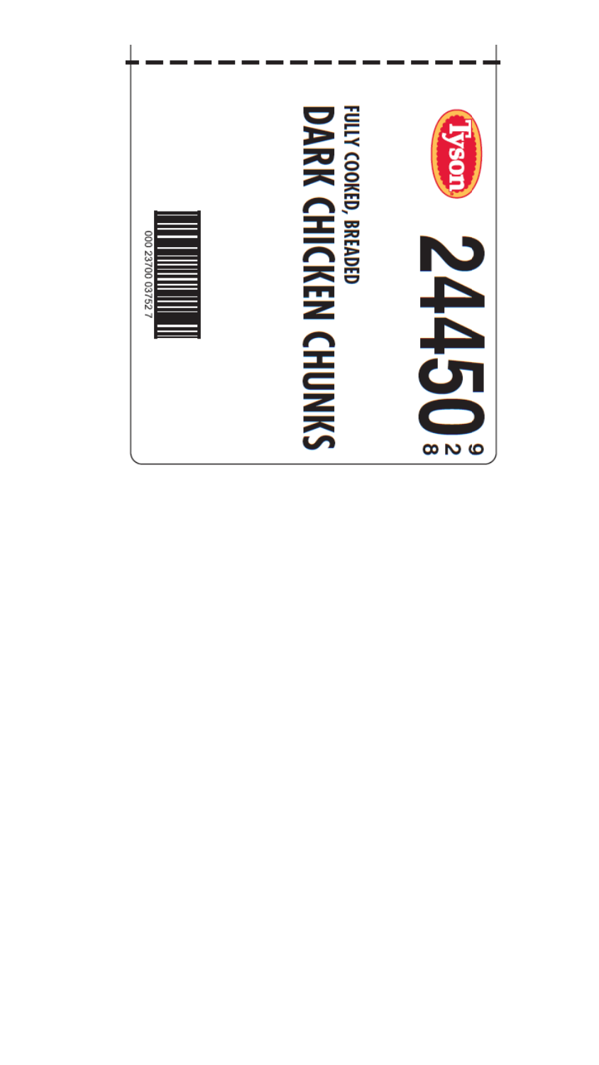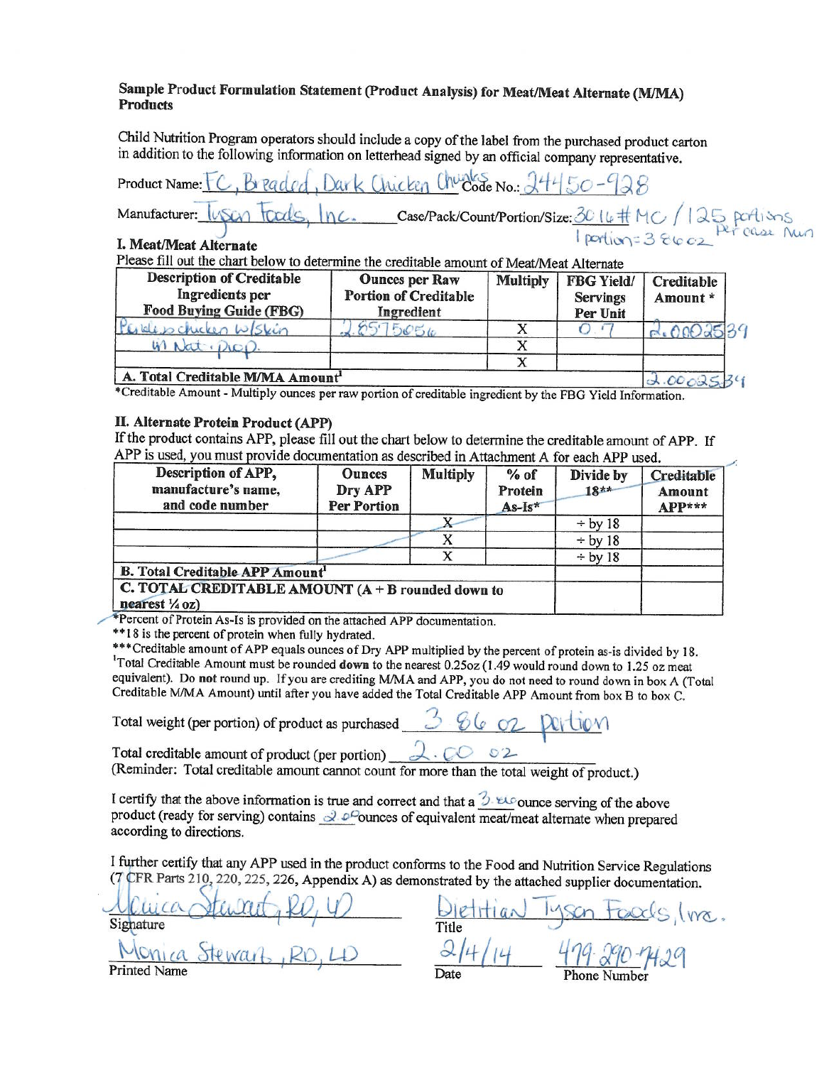## Sample Product Formulation Statement (Product Analysis) for Meat/Meat Alternate (M/MA) **Products**

Child Nutrition Program operators should include a copy of the label from the purchased product carton in addition to the following information on letterhead signed by an official company representative.

Inicken Churches No.: 244 Product Name:

Case/Pack/Count/Portion/Size: 30 14 # MC / 125 portions Manufacturer:

## I. Meat/Meat Alternate

Please fill out the chart below to determine the creditable amount of Meat/Meat Alternate

| <b>Description of Creditable</b><br><b>Ingredients</b> per<br><b>Food Buying Guide (FBG)</b> | <b>Ounces per Raw</b><br><b>Portion of Creditable</b><br>Ingredient | <b>Multiply</b> | <b>FBG Yield/</b><br><b>Servings</b><br>Per Unit | Creditable<br>Amount* |
|----------------------------------------------------------------------------------------------|---------------------------------------------------------------------|-----------------|--------------------------------------------------|-----------------------|
| Perdesochicken W/Skin                                                                        | .9575056                                                            |                 |                                                  |                       |
| W Nat. Diep                                                                                  |                                                                     |                 |                                                  |                       |
|                                                                                              |                                                                     |                 |                                                  |                       |
| A. Total Creditable M/MA Amount <sup>1</sup>                                                 |                                                                     |                 |                                                  |                       |

 $0.00085.59$ \*Creditable Amount - Multiply ounces per raw portion of creditable ingredient by the FBG Yield Information.

### II. Alternate Protein Product (APP)

If the product contains APP, please fill out the chart below to determine the creditable amount of APP. If APP is used, you must provide documentation as described in Attachment A for each APP used.

| Description of APP,<br>manufacture's name,<br>and code number                  | <b>Ounces</b><br>Dry APP<br><b>Per Portion</b> | <b>Multiply</b> | $%$ of<br>Protein<br>As-Is* | Divide by<br>$18**$ | Creditable<br>Amount<br>APP*** |
|--------------------------------------------------------------------------------|------------------------------------------------|-----------------|-----------------------------|---------------------|--------------------------------|
|                                                                                |                                                |                 |                             | $\div$ by 18        |                                |
|                                                                                |                                                |                 |                             | $\div$ by 18        |                                |
|                                                                                |                                                | X               |                             | $\div$ by 18        |                                |
| <b>B. Total Creditable APP Amount'</b>                                         |                                                |                 |                             |                     |                                |
| C. TOTAL CREDITABLE AMOUNT (A + B rounded down to<br>nearest $\frac{1}{4}$ oz) |                                                |                 |                             |                     |                                |

\*Percent of Protein As-Is is provided on the attached APP documentation.

\*\*18 is the percent of protein when fully hydrated.

\*\*\* Creditable amount of APP equals ounces of Dry APP multiplied by the percent of protein as-is divided by 18. <sup>1</sup>Total Creditable Amount must be rounded down to the nearest 0.25oz (1.49 would round down to 1.25 oz meat equivalent). Do not round up. If you are crediting M/MA and APP, you do not need to round down in box A (Total Creditable M/MA Amount) until after you have added the Total Creditable APP Amount from box B to box C.

Total weight (per portion) of product as purchased

 $2.6002$ 

 $5.8602$ 

Total creditable amount of product (per portion) (Reminder: Total creditable amount cannot count for more than the total weight of product.)

I certify that the above information is true and correct and that a  $\beta$   $\omega$  ounce serving of the above product (ready for serving) contains  $\frac{\partial^2 \rho}{\partial x^2}$ ounces of equivalent meat/meat alternate when prepared according to directions.

I further certify that any APP used in the product conforms to the Food and Nutrition Service Regulations (7 CFR Parts 210, 220, 225, 226, Appendix A) as demonstrated by the attached supplier documentation.

Signature  $M17a$ **Printed Name** 

lyson toods, (ma.